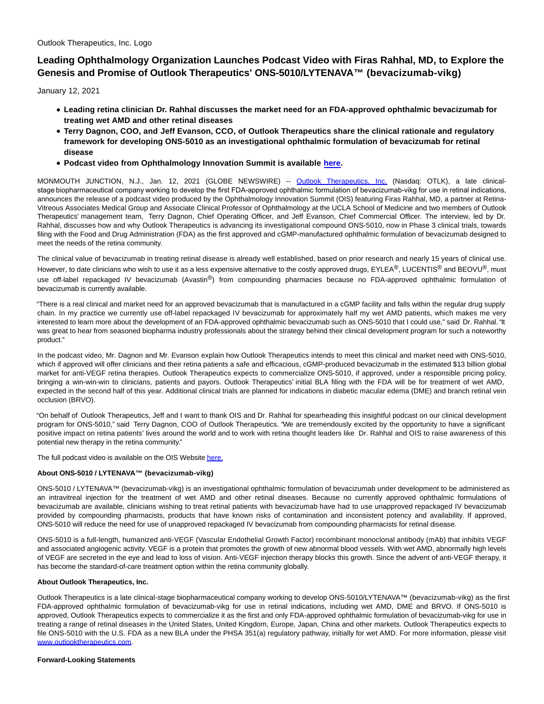Outlook Therapeutics, Inc. Logo

## **Leading Ophthalmology Organization Launches Podcast Video with Firas Rahhal, MD, to Explore the Genesis and Promise of Outlook Therapeutics' ONS-5010/LYTENAVA™ (bevacizumab-vikg)**

January 12, 2021

- **Leading retina clinician Dr. Rahhal discusses the market need for an FDA-approved ophthalmic bevacizumab for treating wet AMD and other retinal diseases**
- **Terry Dagnon, COO, and Jeff Evanson, CCO, of Outlook Therapeutics share the clinical rationale and regulatory framework for developing ONS-5010 as an investigational ophthalmic formulation of bevacizumab for retinal disease**
- **Podcast video from Ophthalmology Innovation Summit is available [here.](https://ois.net/the-outlook-on-getting-regulatory-approved-bevacizumab-to-market/?mc_cid=5f8fba038e&mc_eid=fb8d4a826c)**

MONMOUTH JUNCTION, N.J., Jan. 12, 2021 (GLOBE NEWSWIRE) -- [Outlook Therapeutics, Inc.](https://www.globenewswire.com/Tracker?data=Kgmp26OT3GjRxN1DGlv3TOFer5oxlcCPpOtm7DKjkb4ti_P3GVvSbd3GZJy1Gq_WErlKyflZRaTB5xwnwn486maiIayeiPwhr53OvX0MDhc=) (Nasdaq: OTLK), a late clinicalstage biopharmaceutical company working to develop the first FDA-approved ophthalmic formulation of bevacizumab-vikg for use in retinal indications, announces the release of a podcast video produced by the Ophthalmology Innovation Summit (OIS) featuring Firas Rahhal, MD, a partner at Retina-Vitreous Associates Medical Group and Associate Clinical Professor of Ophthalmology at the UCLA School of Medicine and two members of Outlook Therapeutics' management team, Terry Dagnon, Chief Operating Officer, and Jeff Evanson, Chief Commercial Officer. The interview, led by Dr. Rahhal, discusses how and why Outlook Therapeutics is advancing its investigational compound ONS-5010, now in Phase 3 clinical trials, towards filing with the Food and Drug Administration (FDA) as the first approved and cGMP-manufactured ophthalmic formulation of bevacizumab designed to meet the needs of the retina community.

The clinical value of bevacizumab in treating retinal disease is already well established, based on prior research and nearly 15 years of clinical use. However, to date clinicians who wish to use it as a less expensive alternative to the costly approved drugs, EYLEA®, LUCENTIS® and BEOVU®, must use off-label repackaged IV bevacizumab (Avastin®) from compounding pharmacies because no FDA-approved ophthalmic formulation of bevacizumab is currently available.

"There is a real clinical and market need for an approved bevacizumab that is manufactured in a cGMP facility and falls within the regular drug supply chain. In my practice we currently use off-label repackaged IV bevacizumab for approximately half my wet AMD patients, which makes me very interested to learn more about the development of an FDA-approved ophthalmic bevacizumab such as ONS-5010 that I could use," said Dr. Rahhal. "It was great to hear from seasoned biopharma industry professionals about the strategy behind their clinical development program for such a noteworthy product."

In the podcast video, Mr. Dagnon and Mr. Evanson explain how Outlook Therapeutics intends to meet this clinical and market need with ONS-5010, which if approved will offer clinicians and their retina patients a safe and efficacious, cGMP-produced bevacizumab in the estimated \$13 billion global market for anti-VEGF retina therapies. Outlook Therapeutics expects to commercialize ONS-5010, if approved, under a responsible pricing policy, bringing a win-win-win to clinicians, patients and payors. Outlook Therapeutics' initial BLA filing with the FDA will be for treatment of wet AMD, expected in the second half of this year. Additional clinical trials are planned for indications in diabetic macular edema (DME) and branch retinal vein occlusion (BRVO).

"On behalf of Outlook Therapeutics, Jeff and I want to thank OIS and Dr. Rahhal for spearheading this insightful podcast on our clinical development program for ONS-5010," said Terry Dagnon, COO of Outlook Therapeutics. "We are tremendously excited by the opportunity to have a significant positive impact on retina patients' lives around the world and to work with retina thought leaders like Dr. Rahhal and OIS to raise awareness of this potential new therapy in the retina community."

The full podcast video is available on the OIS Websit[e here.](https://www.globenewswire.com/Tracker?data=yI150hmvQGfIdI1ZFYV7NWbnEc7rirRFqPGYPCvyY8E3F9PMntXzSoKK-9ZKyxD8uyWOnIRvlHNlj3KkI1UD7nGEfOlkkm5m0KkGIYWfkLLbebknoh_9gblAQvnYlUpkOWPDxfOB-_HNbSG9Hw49koPZMMT7kPkSkpWx9OfhvoX0WGR5YDVYb1hS_-yDLKe-)

## **About ONS-5010 / LYTENAVA™ (bevacizumab-vikg)**

ONS-5010 / LYTENAVA™ (bevacizumab-vikg) is an investigational ophthalmic formulation of bevacizumab under development to be administered as an intravitreal injection for the treatment of wet AMD and other retinal diseases. Because no currently approved ophthalmic formulations of bevacizumab are available, clinicians wishing to treat retinal patients with bevacizumab have had to use unapproved repackaged IV bevacizumab provided by compounding pharmacists, products that have known risks of contamination and inconsistent potency and availability. If approved, ONS-5010 will reduce the need for use of unapproved repackaged IV bevacizumab from compounding pharmacists for retinal disease.

ONS-5010 is a full-length, humanized anti-VEGF (Vascular Endothelial Growth Factor) recombinant monoclonal antibody (mAb) that inhibits VEGF and associated angiogenic activity. VEGF is a protein that promotes the growth of new abnormal blood vessels. With wet AMD, abnormally high levels of VEGF are secreted in the eye and lead to loss of vision. Anti-VEGF injection therapy blocks this growth. Since the advent of anti-VEGF therapy, it has become the standard-of-care treatment option within the retina community globally.

## **About Outlook Therapeutics, Inc.**

Outlook Therapeutics is a late clinical-stage biopharmaceutical company working to develop ONS-5010/LYTENAVA™ (bevacizumab-vikg) as the first FDA-approved ophthalmic formulation of bevacizumab-vikg for use in retinal indications, including wet AMD, DME and BRVO. If ONS-5010 is approved, Outlook Therapeutics expects to commercialize it as the first and only FDA-approved ophthalmic formulation of bevacizumab-vikg for use in treating a range of retinal diseases in the United States, United Kingdom, Europe, Japan, China and other markets. Outlook Therapeutics expects to file ONS-5010 with the U.S. FDA as a new BLA under the PHSA 351(a) regulatory pathway, initially for wet AMD. For more information, please visit [www.outlooktherapeutics.com.](https://www.globenewswire.com/Tracker?data=DF91G0_T4tWnCmBvM65SfamtF0ugpJ2fOwsFu5mizUrlq_4q5P_3ijgVxd89BO4ZwXCp9aQj1V6A7VoAP5JMt3PinJJABywV8Pu0_vsenjTDCm9JpyQBKXEbbHajrbrT)

**Forward-Looking Statements**